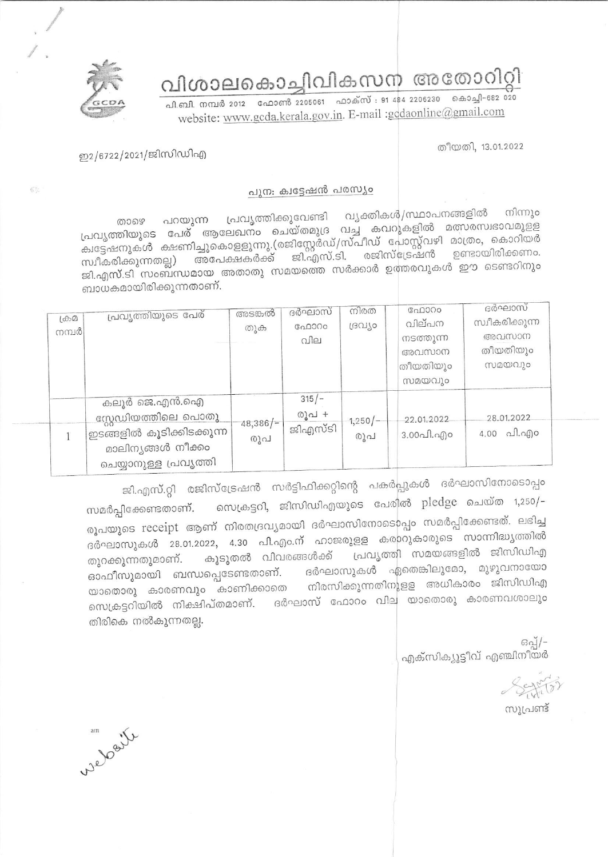വിശാലകൊച്ചിവികസന അതോറിറ്റി



പി.ബി. നമ്പർ 2012 - ഫോൺ 2205061 - ഫാക്സ് : 91 484 2206230 - കൊച്ചി-682 020 website: www.gcda.kerala.gov.in. E-mail :gcdaonline@gmail.com

തീയതി, 13.01.2022

## ഇ2/6722/2021/ജിസിഡിഎ

67

## പുന: ക്വട്ടേഷൻ പരസ്യം

വ്യക്തികൾ/സ്ഥാപനങ്ങളിൽ നിന്നും പ്രവൃത്തിക്കുവേണ്ടി പറയുന്ന പ്രവൃത്തിയുടെ പേര് ആലേഖനം ചെയ്തമുദ്ര വച്ച കവറുകളിൽ മത്സരസ്വഭാവമുളള താഴെ ക്വട്ടേഷനുകൾ ക്ഷണിച്ചുകൊളളുന്നു.(രജിസ്റ്റേർഡ്/സ്പീഡ് പോസ്റ്റ്വഴി മാത്രം, കൊറിയർ സ്വീകരിക്കുന്നതല്ല) അപേക്ഷകർക്ക് ജി.എസ്.ടി. രജിസ്ട്രേഷൻ ഉണ്ടായിരിക്കണം. ജി.എസ്.ടി സംബന്ധമായ അതാതു സമയത്തെ സർക്കാർ ഉത്തരവുകൾ ഈ ടെണ്ടറിനും ബാധകമായിരിക്കുന്നതാണ്.

| $L^{(1)}(A)$<br>നമ്പർ | പ്രവൃത്തിയുടെ പേര്                                                                                               | അടങ്കൽ<br>തുക      | ദർഘാസ്<br>ഫോറം<br>വില       | നിരത<br>ദ്രഗ്യാ                    | പോറം<br>വില്പന<br>നടത്തുന്ന<br>അവസാന<br>തീയതിയും<br>സമയവും | ദർഘാസ<br>സ്വീകരിക്കുന്ന<br>അവസാന<br>തീയതിയും<br>സമയവും |
|-----------------------|------------------------------------------------------------------------------------------------------------------|--------------------|-----------------------------|------------------------------------|------------------------------------------------------------|--------------------------------------------------------|
|                       | കലൂർ ജെ.എൻ.ഐ<br>സ്റ്റേഡിയത്തിലെ പൊതു<br>'ഇടങ്ങളിൽ കൂടിക്കിടക്കുന്ന<br>മാലിനൃങ്ങൾ നീക്കം<br>ചെയ്യാനുള്ള പ്രവൃത്തി | $-48,386/-$<br>രൂപ | $315/-$<br>രൂപ +<br>ജിഎസ്ടി | $1,250$ $\left\{ -\right\}$<br>രൂപ | 22.01.2022<br>$3.000$ $0.900$                              | 28.01.2022<br>$4.00$ al. ago                           |

ജി.എസ്.റ്റി രജിസ്ട്രേഷൻ സർട്ടിഫിക്കറ്റിന്റെ പകർപ്പുകൾ ദർഘാസിനോടൊപ്പം സെക്രട്ടറി, ജിസിഡിഎയുടെ പേരിൽ pledge ചെയ്ത 1,250/-സമർപ്പിക്കേണ്ടതാണ്. രൂപയുടെ receipt ആണ് നിരതദ്രവ്യമായി ദർഘാസിനോടൊപ്പം സമർപ്പിക്കേണ്ടത്. ലഭിച്ച ദർഘാസുകൾ 28.01.2022, 4.30 പി.എം.ന് ഹാജരുളള കരാറുകാരുടെ സാന്നിദ്ധ്യത്തിൽ പ്രവൃത്തി സമയങ്ങളിൽ ജിസിഡിഎ കൂടുതൽ വിവരങ്ങൾക്ക് തുറക്കുന്നതുമാണ്. ദർഘാസുകൾ ഏതെങ്കിലുമോ, മുഴുവനായോ ഓഫീസുമായി ബന്ധപ്പെടേണ്ടതാണ്. യാതൊരു കാരണവും കാണിക്കാതെ നിരസിക്കുന്നതിനുളള അധികാരം ജിസിഡിഎ സെക്രട്ടറിയിൽ നിക്ഷിപ്തമാണ്. ദർഘാസ് ഫോറം വില യാതൊരു കാരണവശാലും തിരികെ നൽകുന്നതല്ല.

> ഒപ്പ്/-എക്സിക്യൂട്ടീവ് എഞ്ചിനീയർ

സൂപ്രണ്ട്

website